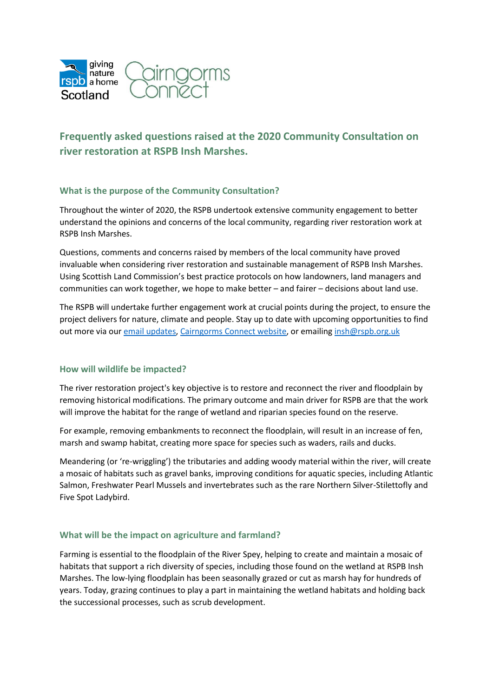

# **Frequently asked questions raised at the 2020 Community Consultation on river restoration at RSPB Insh Marshes.**

### **What is the purpose of the Community Consultation?**

Throughout the winter of 2020, the RSPB undertook extensive community engagement to better understand the opinions and concerns of the local community, regarding river restoration work at RSPB Insh Marshes.

Questions, comments and concerns raised by members of the local community have proved invaluable when considering river restoration and sustainable management of RSPB Insh Marshes. Using Scottish Land Commission's best practice protocols on how landowners, land managers and communities can work together, we hope to make better – and fairer – decisions about land use.

The RSPB will undertake further engagement work at crucial points during the project, to ensure the project delivers for nature, climate and people. Stay up to date with upcoming opportunities to find out more via our [email updates,](https://forms.office.com/pages/responsepage.aspx?id=vOCYm3zO8EeKao6K7RivYm0iuTvU2HtOqTmCuCH3_-hUNks1VzJPMkJZNzZJVDU1UFZPVlc5MElVWC4u) [Cairngorms Connect website,](http://cairngormsconnect.org.uk/projects/insh) or emailing [insh@rspb.org.uk](mailto:insh@rspb.org.uk)

### **How will wildlife be impacted?**

The river restoration project's key objective is to restore and reconnect the river and floodplain by removing historical modifications. The primary outcome and main driver for RSPB are that the work will improve the habitat for the range of wetland and riparian species found on the reserve.

For example, removing embankments to reconnect the floodplain, will result in an increase of fen, marsh and swamp habitat, creating more space for species such as waders, rails and ducks.

Meandering (or 're-wriggling') the tributaries and adding woody material within the river, will create a mosaic of habitats such as gravel banks, improving conditions for aquatic species, including Atlantic Salmon, Freshwater Pearl Mussels and invertebrates such as the rare Northern Silver-Stilettofly and Five Spot Ladybird.

### **What will be the impact on agriculture and farmland?**

Farming is essential to the floodplain of the River Spey, helping to create and maintain a mosaic of habitats that support a rich diversity of species, including those found on the wetland at RSPB Insh Marshes. The low-lying floodplain has been seasonally grazed or cut as marsh hay for hundreds of years. Today, grazing continues to play a part in maintaining the wetland habitats and holding back the successional processes, such as scrub development.